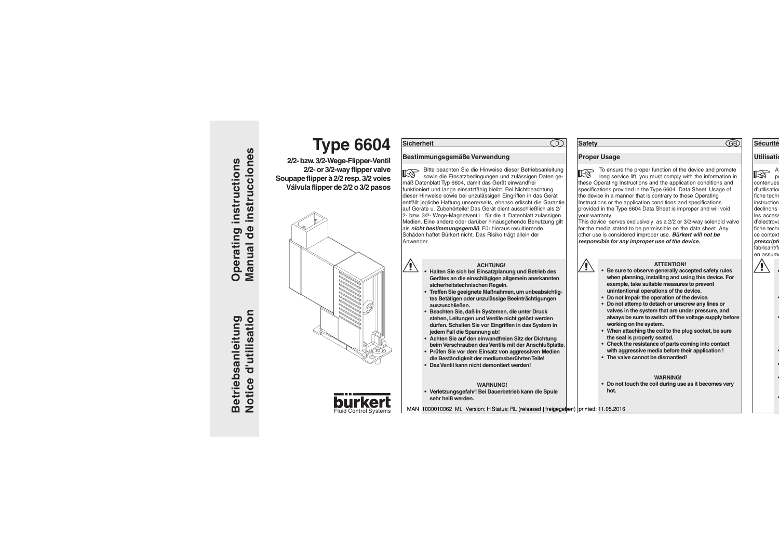

# **ACHTUNG!**

- **• Halten Sie sich bei Einsatzplanung und Betrieb des Gerätes an die einschlägigen allgemein anerkannten sicherheitstechnischen Regeln.**
	- **• Treffen Sie geeignete Maßnahmen, um unbeabsichtigtes Betätigen oder unzulässige Beeinträchtigungen auszuschließen.**
	- **Beachten Sie, daß in Systemen, die unter Druck stehen, Leitungen und Ventile nicht gelöst werden dürfen. Schalten Sie vor Eingriffen in das System in jedem Fall die Spannung ab!**
	- **• Achten Sie auf den einwandfreien Sitz der Dichtung beim Verschrauben des Ventils mit der Anschlußplatte.**
	- **• Prüfen Sie vor dem Einsatz von aggressiven Medien die Beständigkeit der mediumsberührten Teile!**
	- **Das Ventil kann nicht demontiert werden!**

### **WARNUNG!**

**• Verletzungsgefahr! Bei Dauerbetrieb kann die Spule sehr heiß werden.**

## **ATTENTION!**

- **Be sure to observe generally accepted safety rules when planning, installing and using this device. For example, take suitable measures to prevent unintentional operations of the device.**
	- **• Do not impair the operation of the device.**
- **• Do not attemp to detach or unscrew any lines or valves in the system that are under pressure, and always be sure to switch off the voltage supply before working on the system.**
- **• When attaching the coil to the plug socket, be sure the seal is properly seated.**
- **• Check the resistance of parts coming into contact with aggressive media before their application !**
- **• The valve cannot be dismantled!**

### **WARNING!**

**• Do not touch the coil during use as it becomes very hot.**

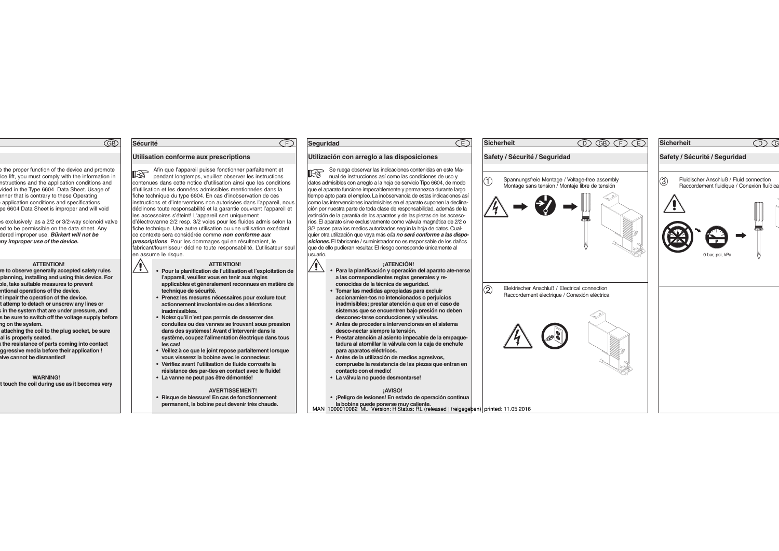### **Sécurité**

## **Utilisation conforme aux prescriptions**

Afin que l'appareil puisse fonctionner parfaitement et **IS** pendant longtemps, veuillez observer les instructions contenues dans cette notice d'utilisation ainsi que les conditions d'utilisation et les données admissibles mentionnées dans la fiche technique du type 6604. En cas d'inobservation de ces instructions et d'interventions non autorisées dans l'appareil, nous déclinons toute responsabilité et la garantie couvrant l'appareil et les accessoires s'éteint! L'appareil sert uniquement d'électrovanne 2/2 resp. 3/2 voies pour les fluides admis selon la fiche technique. Une autre utilisation ou une utilisation excédant ce contexte sera considérée comme **non conforme aux prescriptions**. Pour les dommages qui en résulteraient, le fabricant/fournisseur décline toute responsabilité. L'utilisateur seul en assume le risque.

∕≬\

# **ATTENTION!**

- **• Pour la planification de l'utilisation et l'exploitation de l'appareil, veuillez vous en tenir aux règles applicables et généralement reconnues en matière de technique de sécurité.**
- **• Prenez les mesures nécessaires pour exclure tout actionnement involontaire ou des altérations inadmissibles.**
- **• Notez qu'il n'est pas permis de desserrer des conduites ou des vannes se trouvant sous pression dans des systèmes! Avant d'intervenir dans le système, coupez l'alimentation électrique dans tous les cas!**
- **• Veillez à ce que le joint repose parfaitement lorsque vous visserez la bobine avec le connecteur.**
- **• Vérifiez avant l'utilisation de fluide corrosifs la résistance des par-ties en contact avec le fluide!**
- **• La vanne ne peut pas être démontée!**

### **AVERTISSEMENT!**

**• Risque de blessure! En cas de fonctionnement permanent, la bobine peut devenir très chaude.**

## **Seguridad**

Ţ

Œ

# **Utilización con arreglo a las disposiciones**

Se ruega observar las indicaciones contenidas en este Ma-**RAI** nual de instrucciones así como las condiciones de uso y datos admisibles con arreglo a la hoja de servicio Tipo 6604, de modo que el aparato funcione impecablemente y permanezca durante largo tiempo apto para el empleo. La inobservancia de estas indicaciones así como las intervenciones inadmisibles en el aparato suponen la declinación por nuestra parte de toda clase de responsabilidad, además de la extinción de la garantía de los aparatos y de las piezas de los accesorios. El aparato sirve exclusivamente como válvula magnética de 2/2 o 3/2 pasos para los medios autorizados según la hoja de datos. Cualquier otra utilización que vaya más ella **no será conforme a las disposiciones.** El fabricante / suministrador no es responsable de los daños que de ello pudieran resultar. El riesgo corresponde únicamente al usuario.

# **¡ATENCIÓN!**

Œ

- **• Para la planificación y operación del aparato ate-nerse a las correspondientes reglas generales y reconocidas de la técnica de seguridad.**
	- **• Tomar las medidas apropiadas para excluir accionamien-tos no intencionados o perjuicios inadmisibles; prestar atención a que en el caso de sistemas que se encuentren bajo presión no deben desconec-tarse conducciones y válvulas.**
	- **• Antes de proceder a intervenciones en el sistema desco-nectar siempre la tensión.**
	- **• Prestar atención al asiento impecable de la empaquetadura al atornillar la válvula con la caja de enchufe para aparatos eléctricos.**
	- **• Antes de la utilización de medios agresivos, compruebe la resistencia de las piezas que entran en contacto con el medio!**
	- **• La válvula no puede desmontarse!**

### **¡AVISO!**

**• ¡Peligro de lesiones! En estado de operación continua**

**la bobina puede ponerse muy caliente.**<br>MAN 1000010062 ML Version: H Status: RL (released | freigegeben) | printed: 11.05.2016

| T | Spannungsfreie Montage / Voltage-free assembly<br>Montage sans tension / Montaje libre de tensión |      |  |
|---|---------------------------------------------------------------------------------------------------|------|--|
|   |                                                                                                   | ातार |  |
| Q | Elektrischer Anschluß / Electrical connection<br>Raccordement électrique / Conexión eléctrica     |      |  |
|   |                                                                                                   |      |  |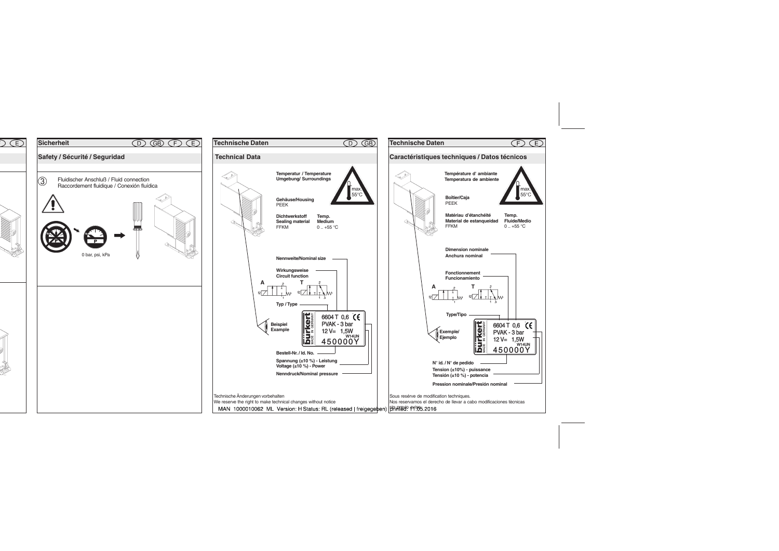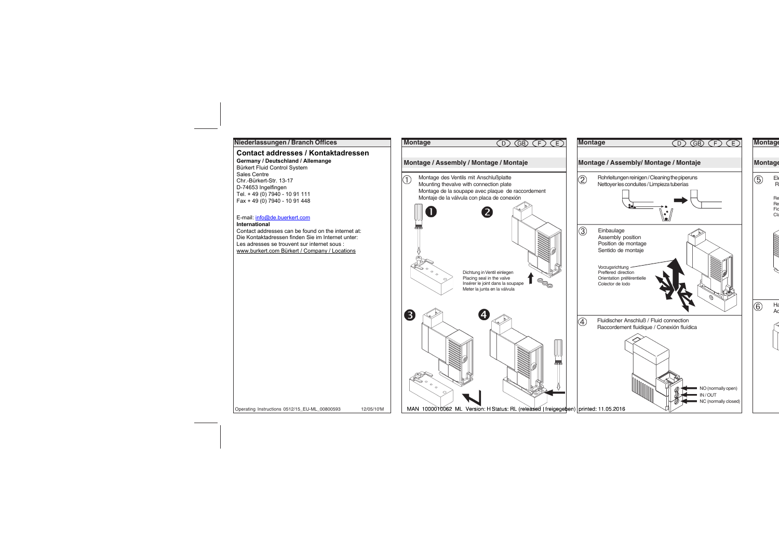### **Niederlassungen / Branch Offices**

# Contact addresses / Kontaktadressen

74653 Ingelfingen Dortmund Ph: (0 23 73) 96 81 - 0 Ph: (0 79 40) 10-111 Frankfurt Ph: (0 61 03) 94 14 - 0 **Germany / Deutschland / Allemange**  Bürkert Fluid Control System Saies Centre<br>Chr.-Bürkert-Str. 13-17 Tel. + 49 (0) 7940 - 10 91 111 Fax + 49 (0) 7940 - 10 91 448 Sales Centre D-74653 Ingelfingen

## **E-mail:** info@de.buerkert.com

# **Branchistan Branchistan Branchistan Branchistan Branchistan Branchistan Branchistan Branchistan Branchistan Branchistan Branchistan Branchistan Branchistan Branchistan Branchistan Branchistan Branchistan Branchistan Branc**

memational<br>Contact addresses can be found on the internet at: Die Kontaktadresses van de loand om die internet at.<br>Die Kontaktadressen finden Sie im Internet unter: Les adresses se trouvent sur internet sous :<br>Les adresses se trouvent sur internet sous : Les adresses se trouvent sur internet sous .<br>www.burkert.com Bürkert / Company / Locations

Operating Instructions 0512/15\_EU-ML\_00800593

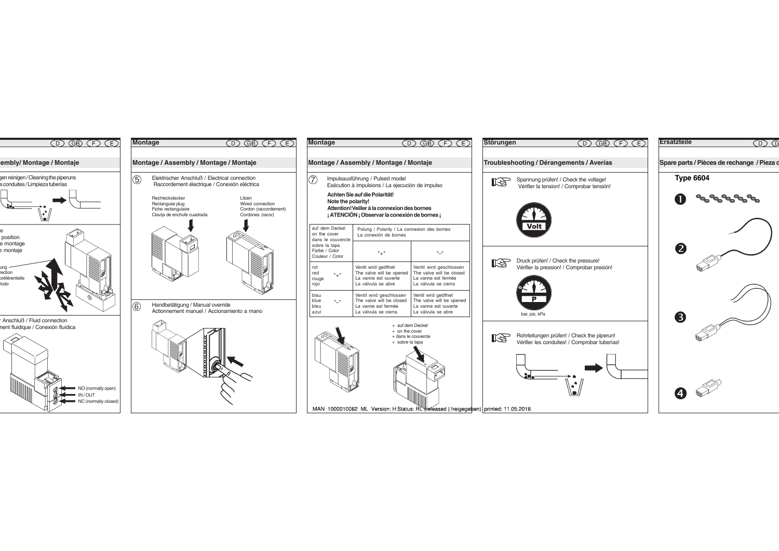

| Montage                                                                        | (D) (GB) (F) (E)                                                                                                               |                                                                                                    |  |  |
|--------------------------------------------------------------------------------|--------------------------------------------------------------------------------------------------------------------------------|----------------------------------------------------------------------------------------------------|--|--|
|                                                                                |                                                                                                                                |                                                                                                    |  |  |
| Montage / Assembly / Montage / Montaje                                         |                                                                                                                                |                                                                                                    |  |  |
|                                                                                | Impulsausführung / Pulsed model<br>Exécution à impulsions / La ejecución de impulso                                            |                                                                                                    |  |  |
| Note the polarity!                                                             | Achten Sie auf die Polarität!<br>Attention! Veiller à la connexion des bornes<br>¡ ATENCIÓN ¡ Observar la conexión de bornes ¡ |                                                                                                    |  |  |
| auf dem Deckel<br>on the cover<br>dans le couvercle                            | Polung / Polarity / La connexion des bornes<br>La conexión de bornes                                                           |                                                                                                    |  |  |
| sobre la tapa<br>Farbe / Color<br>Couleur / Color                              | "+"                                                                                                                            | . .                                                                                                |  |  |
| rot<br>red<br>rouge<br>rojo                                                    | Ventil wird geöffnet<br>The valve will be opened<br>La vanne est ouverte<br>La válvula se abre                                 | Ventil wird geschlossen<br>The valve will be closed<br>La vanne est fermée<br>La válvula se cierra |  |  |
| blau<br>blue<br>0 U<br>bleu<br>azul                                            | Ventil wird geschlossen<br>The valve will be closed<br>La vanne est fermée<br>La válvula se cierra.                            | Ventil wird geöffnet<br>The valve will be opened<br>La vanne est ouverte<br>La válvula se abre     |  |  |
| + auf dem Deckel<br>$+$ on the cover<br>+ dans le couvercle<br>+ sobre la tapa |                                                                                                                                |                                                                                                    |  |  |
| MAN 1000010062 ML Version: H Status: RL Veleased   freigege                    |                                                                                                                                |                                                                                                    |  |  |



ben) printed: 11.05.2016